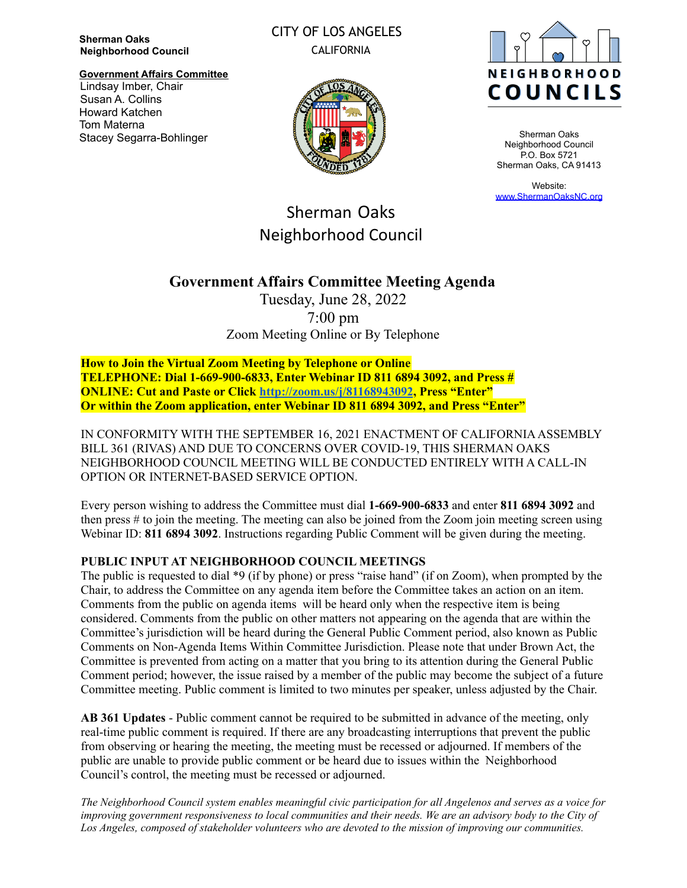**Sherman Oaks Neighborhood Council**

**Government Affairs Committee** Lindsay Imber, Chair Susan A. Collins Howard Katchen Tom Materna Stacey Segarra-Bohlinger

## CITY OF LOS ANGELES CALIFORNIA





Sherman Oaks Neighborhood Council P.O. Box 5721 Sherman Oaks, CA 91413

Website: [www.ShermanOaksNC.org](http://www.shermanoaksnc.org)

# Sherman Oaks Neighborhood Council

## **Government Affairs Committee Meeting Agenda**

Tuesday, June 28, 2022 7:00 pm Zoom Meeting Online or By Telephone

**How to Join the Virtual Zoom Meeting by Telephone or Online TELEPHONE: Dial 1-669-900-6833, Enter Webinar ID 811 6894 3092, and Press # ONLINE: Cut and Paste or Click <http://zoom.us/j/81168943092>, Press "Enter" Or within the Zoom application, enter Webinar ID 811 6894 3092, and Press "Enter"**

IN CONFORMITY WITH THE SEPTEMBER 16, 2021 ENACTMENT OF CALIFORNIAASSEMBLY BILL 361 (RIVAS) AND DUE TO CONCERNS OVER COVID-19, THIS SHERMAN OAKS NEIGHBORHOOD COUNCIL MEETING WILL BE CONDUCTED ENTIRELY WITH A CALL-IN OPTION OR INTERNET-BASED SERVICE OPTION.

Every person wishing to address the Committee must dial **1-669-900-6833** and enter **811 6894 3092** and then press # to join the meeting. The meeting can also be joined from the Zoom join meeting screen using Webinar ID: **811 6894 3092**. Instructions regarding Public Comment will be given during the meeting.

#### **PUBLIC INPUT AT NEIGHBORHOOD COUNCIL MEETINGS**

The public is requested to dial \*9 (if by phone) or press "raise hand" (if on Zoom), when prompted by the Chair, to address the Committee on any agenda item before the Committee takes an action on an item. Comments from the public on agenda items will be heard only when the respective item is being considered. Comments from the public on other matters not appearing on the agenda that are within the Committee's jurisdiction will be heard during the General Public Comment period, also known as Public Comments on Non-Agenda Items Within Committee Jurisdiction. Please note that under Brown Act, the Committee is prevented from acting on a matter that you bring to its attention during the General Public Comment period; however, the issue raised by a member of the public may become the subject of a future Committee meeting. Public comment is limited to two minutes per speaker, unless adjusted by the Chair.

**AB 361 Updates** - Public comment cannot be required to be submitted in advance of the meeting, only real-time public comment is required. If there are any broadcasting interruptions that prevent the public from observing or hearing the meeting, the meeting must be recessed or adjourned. If members of the public are unable to provide public comment or be heard due to issues within the Neighborhood Council's control, the meeting must be recessed or adjourned.

The Neighborhood Council system enables meaningful civic participation for all Angelenos and serves as a voice for improving government responsiveness to local communities and their needs. We are an advisory body to the City of *Los Angeles, composed of stakeholder volunteers who are devoted to the mission of improving our communities.*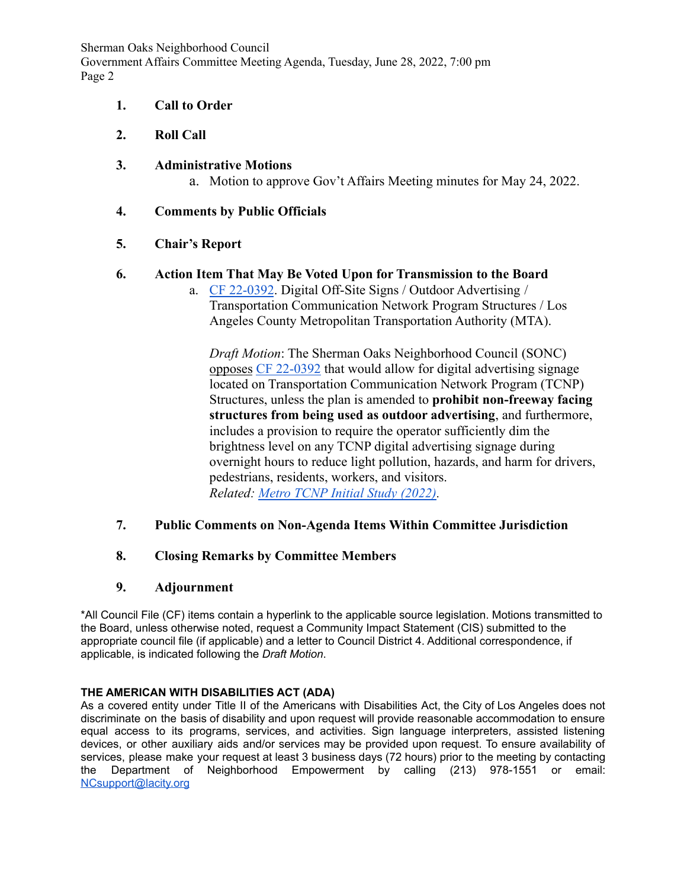Sherman Oaks Neighborhood Council Government Affairs Committee Meeting Agenda, Tuesday, June 28, 2022, 7:00 pm Page 2

## **1. Call to Order**

- **2. Roll Call**
- **3. Administrative Motions**
	- a. Motion to approve Gov't Affairs Meeting minutes for May 24, 2022.
- **4. Comments by Public Officials**

## **5. Chair's Report**

## **6. Action Item That May Be Voted Upon for Transmission to the Board**

a. [CF 22-0392](https://cityclerk.lacity.org/lacityclerkconnect/index.cfm?fa=ccfi.viewrecord&cfnumber=22-0392). Digital Off-Site Signs / Outdoor Advertising / Transportation Communication Network Program Structures / Los Angeles County Metropolitan Transportation Authority (MTA).

*Draft Motion*: The Sherman Oaks Neighborhood Council (SONC) opposes [CF 22-0392](https://cityclerk.lacity.org/lacityclerkconnect/index.cfm?fa=ccfi.viewrecord&cfnumber=22-0392) that would allow for digital advertising signage located on Transportation Communication Network Program (TCNP) Structures, unless the plan is amended to **prohibit non-freeway facing structures from being used as outdoor advertising**, and furthermore, includes a provision to require the operator sufficiently dim the brightness level on any TCNP digital advertising signage during overnight hours to reduce light pollution, hazards, and harm for drivers, pedestrians, residents, workers, and visitors. *Related: [Metro TCNP Initial Study \(2022\)](https://files.ceqanet.opr.ca.gov/277990-1/attachment/_Kn70wSGVm7aIJLbIQKHdF00XJCjZHcNbRosqZf2X28uMXDTwDTMqzMc-3xcBqRED-eKrkCfI5gx7mXq0).*

#### **7. Public Comments on Non-Agenda Items Within Committee Jurisdiction**

#### **8. Closing Remarks by Committee Members**

**9. Adjournment**

\*All Council File (CF) items contain a hyperlink to the applicable source legislation. Motions transmitted to the Board, unless otherwise noted, request a Community Impact Statement (CIS) submitted to the appropriate council file (if applicable) and a letter to Council District 4. Additional correspondence, if applicable, is indicated following the *Draft Motion*.

#### **THE AMERICAN WITH DISABILITIES ACT (ADA)**

As a covered entity under Title II of the Americans with Disabilities Act, the City of Los Angeles does not discriminate on the basis of disability and upon request will provide reasonable accommodation to ensure equal access to its programs, services, and activities. Sign language interpreters, assisted listening devices, or other auxiliary aids and/or services may be provided upon request. To ensure availability of services, please make your request at least 3 business days (72 hours) prior to the meeting by contacting the Department of Neighborhood Empowerment by calling (213) 978-1551 or email: [NCsupport@lacity.org](mailto:NCsupport@lacity.org)